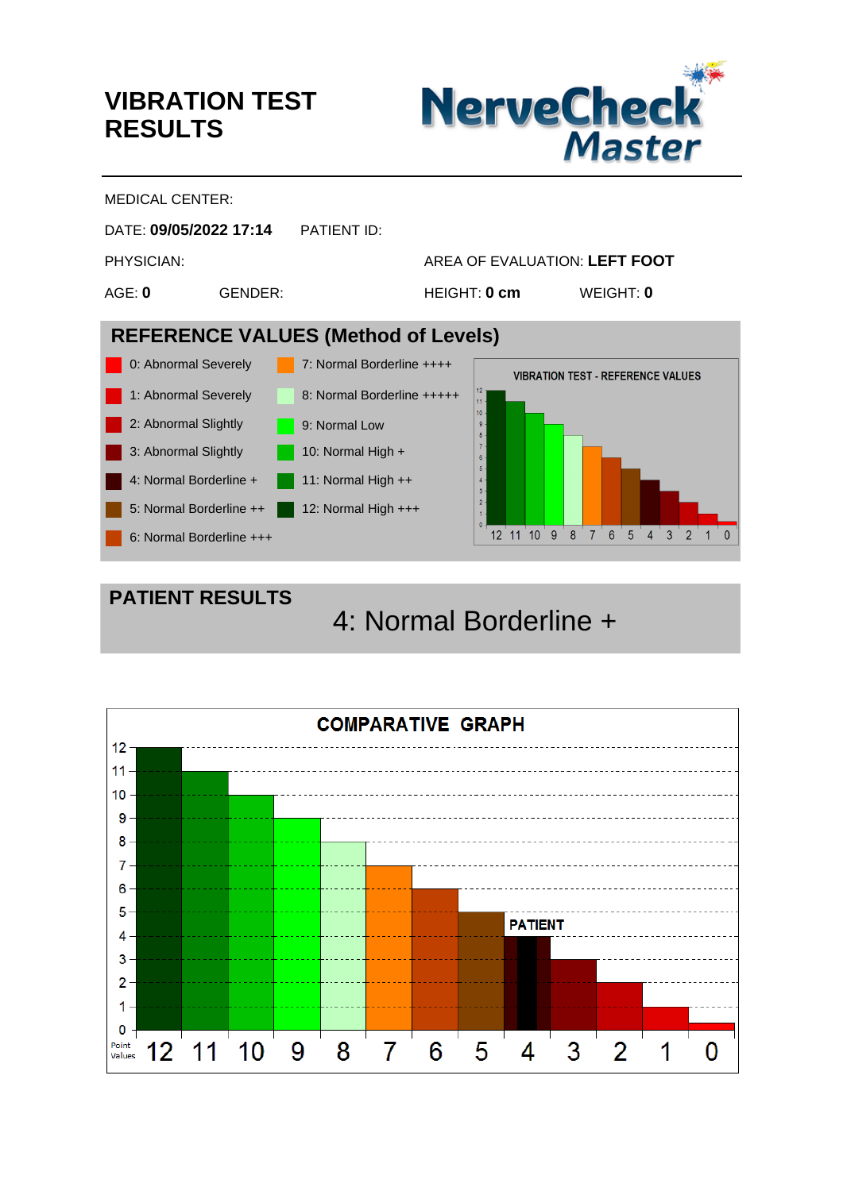## **VIBRATION TEST RESULTS**

**PATIENT RESULTS**



MEDICAL CENTER:



4: Normal Borderline +

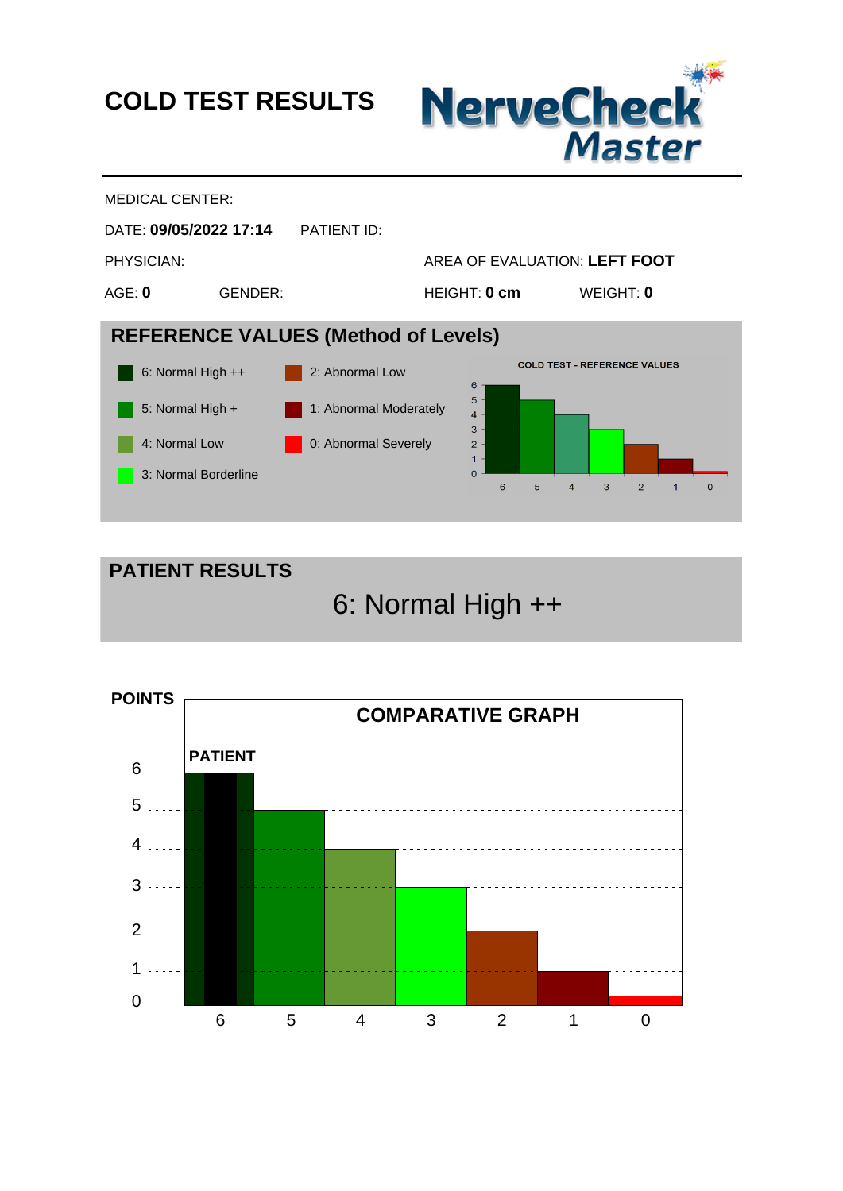**COLD TEST RESULTS**





**PATIENT RESULTS**

6: Normal High ++

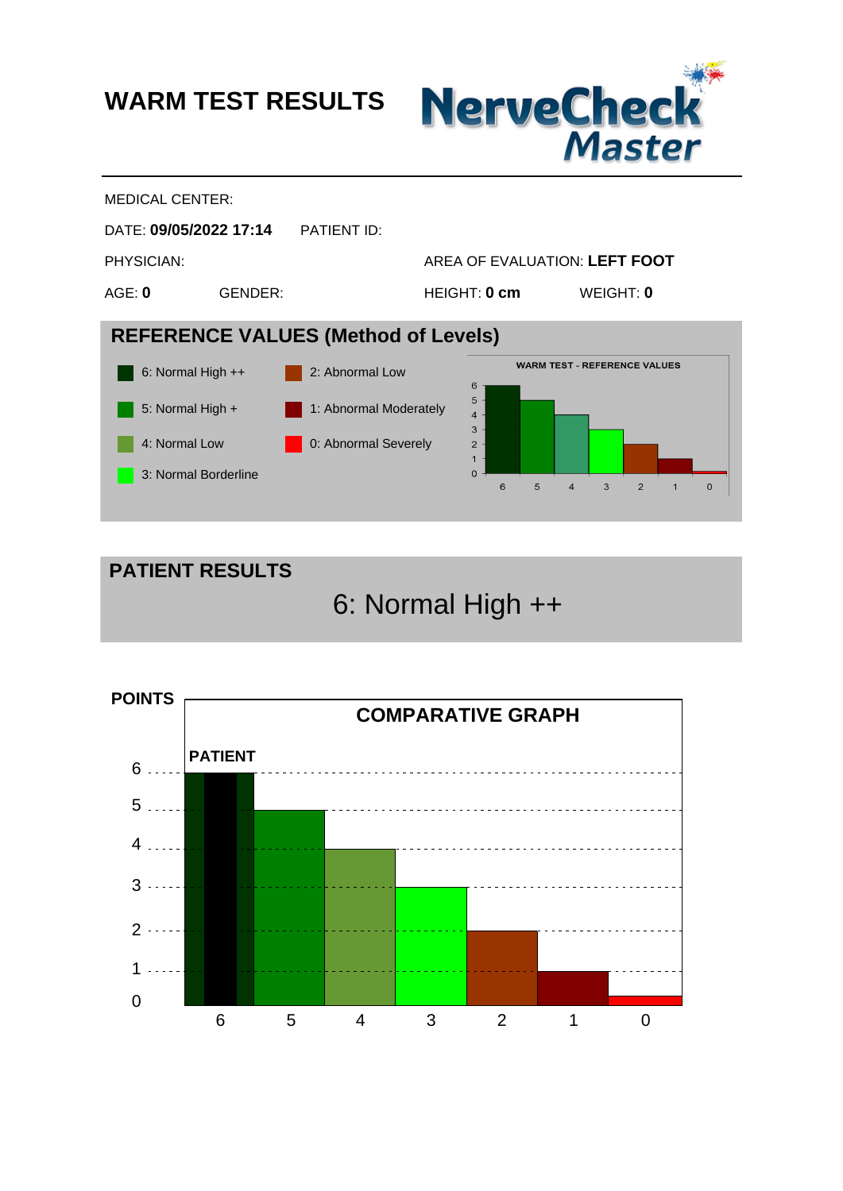**WARM TEST RESULTS**







6: Normal High ++